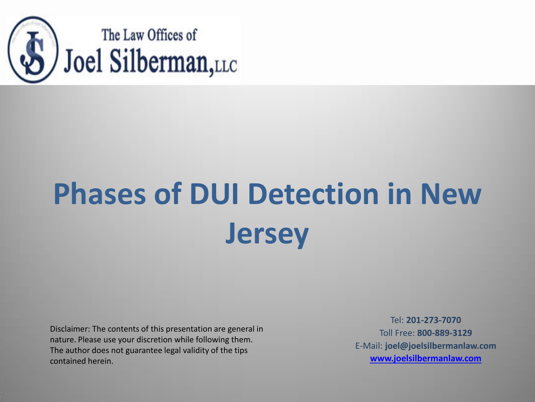

# **Phases of DUI Detection in New Jersey**

Disclaimer: The contents of this presentation are general in nature. Please use your discretion while following them. The author does not guarantee legal validity of the tips contained herein.

Tel: **201-273-7070**  Toll Free: **800-889-3129** E-Mail: **joel@joelsilbermanlaw.com [www.joelsilbermanlaw.com](http://www.joelsilbermanlaw.com/)**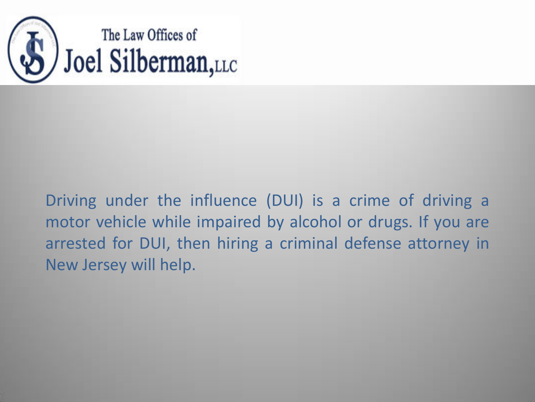

Driving under the influence (DUI) is a crime of driving a motor vehicle while impaired by alcohol or drugs. If you are arrested for DUI, then hiring a criminal defense attorney in New Jersey will help.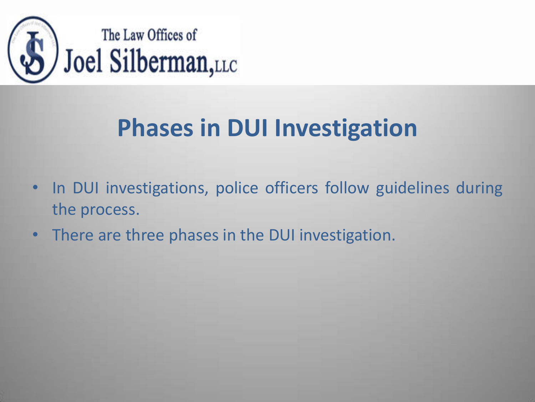

## **Phases in DUI Investigation**

- In DUI investigations, police officers follow guidelines during the process.
- There are three phases in the DUI investigation.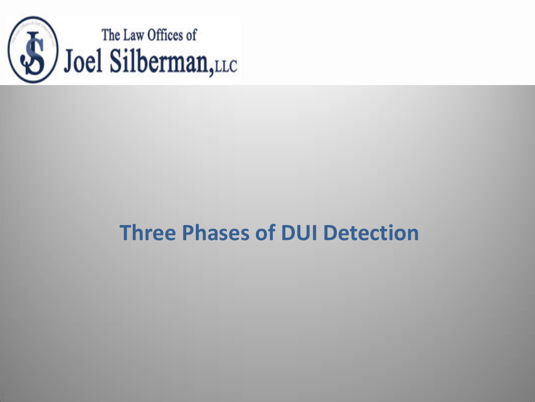

#### **Three Phases of DUI Detection**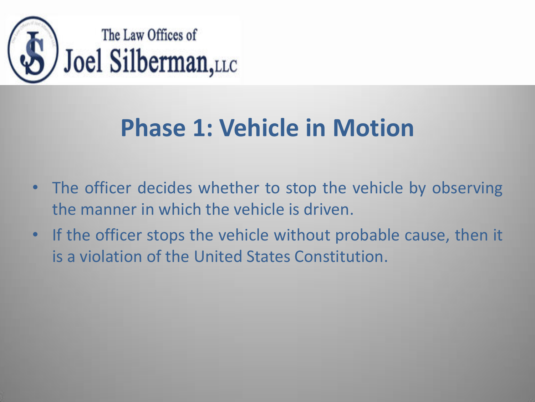

#### **Phase 1: Vehicle in Motion**

- The officer decides whether to stop the vehicle by observing the manner in which the vehicle is driven.
- If the officer stops the vehicle without probable cause, then it is a violation of the United States Constitution.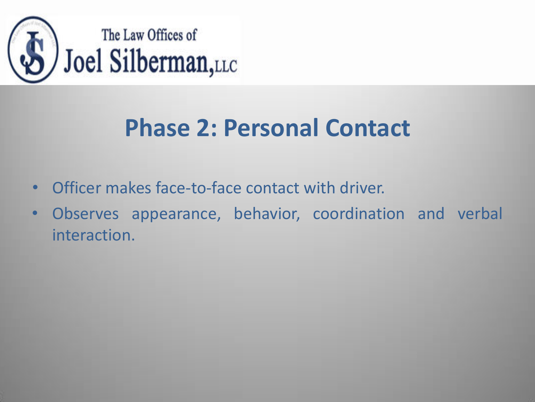

### **Phase 2: Personal Contact**

- Officer makes face-to-face contact with driver.
- Observes appearance, behavior, coordination and verbal interaction.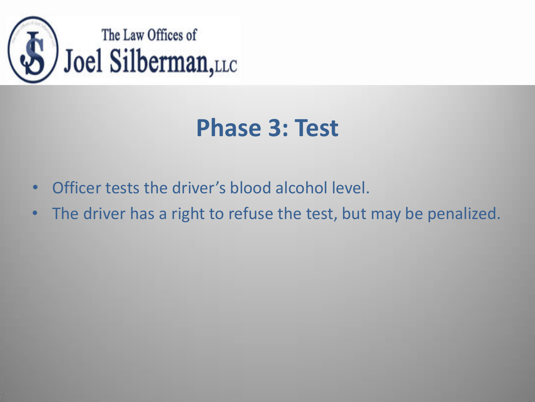

### **Phase 3: Test**

- Officer tests the driver's blood alcohol level.
- The driver has a right to refuse the test, but may be penalized.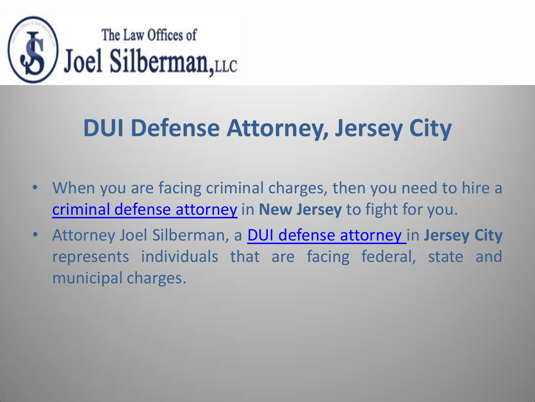

## **DUI Defense Attorney, Jersey City**

- When you are facing criminal charges, then you need to hire a [criminal defense attorney](http://www.joelsilbermanlaw.com/our-practice/criminal-defense-attorney-new-jersey/) in **New Jersey** to fight for you.
- Attorney Joel Silberman, a [DUI defense attorney](http://www.joelsilbermanlaw.com/our-practice/dui-dwi-defense-attorney-jersey-city/) in **Jersey City**  represents individuals that are facing federal, state and municipal charges.